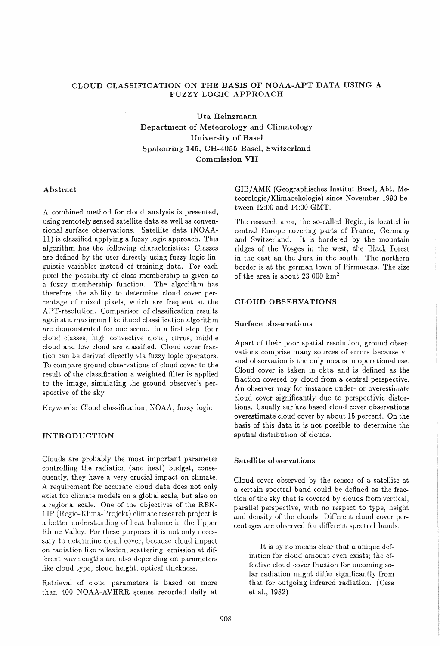# CLOUD CLASSIFICATION ON THE BASIS OF NOAA-APT DATA USING A FUZZY LOGIC APPROACH

Uta Heinzmann Department of Meteorology and Climatology University of Basel Spalenring 145, CH-4055 Basel, Switzerland Commission VII

## Abstract

A combined method for cloud analysis is presented, using remotely sensed satellite data as well as conventional surface observations. Satellite data (NOAA-11) is classified applying a fuzzy logic approach. This algorithm has the following characteristics: Classes are defined by the user directly using fuzzy logic linguistic variables instead of training data. For each pixel the possibility of class membership is given as a fuzzy membership function. The algorithm has therefore the ability to determine cloud cover percentage of mixed pixels, which are frequent at the APT-resolution. Comparison of classification results against a maximum likelihood classification algorithm are demonstrated for one scene. In a first step, four cloud classes, high convective cloud, cirrus, middle cloud and low cloud are classified. Cloud cover fraction can be derived directly via fuzzy logic operators. To compare ground observations of cloud cover to the result of the classification a weighted filter is applied to the image, simulating the ground observer's perspective of the sky.

Keywords: Cloud classification, NOAA, fuzzy logic

## INTRODUCTION

Clouds are probably the most important parameter controlling the radiation (and heat) budget, consequently, they have a very crucial impact on climate. A requirement for accurate cloud data does not only exist for climate models on a global scale, but also on a regional scale. One of the objectives of the REK-LIP (Regio-Klima-Projekt) climate research project is a better understanding of heat balance in the Upper Rhine Valley. For these purposes it is not only necessary to determine cloud cover, because cloud impact on radiation like refiexion, scattering, emission at different wavelengths are also depending on parameters like cloud type, cloud height, optical thickness.

Retrieval of cloud parameters is based on more than 400 NOAA-AVHRR scenes recorded daily at GIB/ AMK (Geographisches Institut Basel, Abt. Meteorologie/Klimaoekologie) since November 1990 between 12:00 and 14:00 GMT.

The research area, the so-called Regio, is located in central Europe covering parts of France, Germany and Switzerland. It is bordered by the mountain ridges of the Vosges in the west, the Black Forest in the east an the Jura in the south. The northern border is at the german town of Pirmasens. The size of the area is about 23 000  $km^2$ .

## CLOUD OBSERVATIONS

### Surface observations

Apart of their poor spatial resolution, ground observations comprise many sources of errors because visual observation is the only means in operational use. Cloud cover is taken in okta and is defined as the fraction covered by cloud from a central perspective. An observer may for instance under- or overestimate cloud cover significantly due to perspectivic distortions. Usually surface based cloud cover observations overestimate cloud cover by about 15 percent. On the basis of this data it is not possible to determine the spatial distribution of clouds.

### Satellite observations

Cloud cover observed by the sensor of a satellite at a certain spectral band could be defined as the fraction of the sky that is covered by clouds from vertical, parallel perspective, with no respect to type, height and density of the clouds. Different cloud cover percentages are observed for different spectral bands.

It is by no means clear that a unique definition for cloud amount even exists; the effective cloud cover fraction for incoming solar radiation might differ significantly from that for outgoing infrared radiation. (Cess et al., 1982)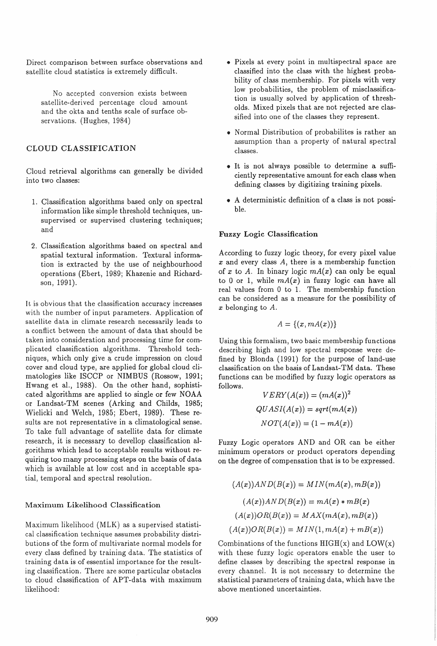Direct comparison between surface observations and satellite cloud statistics is extremely difficult.

No accepted conversion exists between satellite-derived percentage cloud amount and the okta and tenths scale of surface observations. (Hughes, 1984)

# CLOUD CLASSIFICATION

Cloud retrieval algorithms can generally be divided into two classes:

- 1. Classification algorithms based only on spectral information like simple threshold techniques, unsupervised or supervised clustering techniques; and
- 2. Classification algorithms based on spectral and spatial textural information. Textural information is extracted by the use of neighbourhood operations (Ebert, 1989; Khazenie and Richardson, 1991).

It is obvious that the classification accuracy increases with the number of input parameters. Application of satellite data in climate research necessarily leads to a conflict between the amount of data that should be taken into consideration and processing time for complicated classification algorithms. Threshold techniques, which only give a crude impression on cloud cover and cloud type, are applied for global cloud climatologies like ISCCP or NIMBUS (Rossow, 1991; Hwang et al., 1988). On the other hand, sophisticated algorithms are applied to single or few NOAA or Landsat-TM scenes (Arking and Childs, 1985; Wielicki and Welch, 1985; Ebert, 1989). These results are not representative in a climatological sense. To take full advantage of satellite data for climate research, it is necessary to devellop classification algorithms which lead to acceptable results without requiring too many processing steps on the basis of data which is available at low cost and in acceptable spatial, temporal and spectral resolution.

#### Maximum Likelihood Classification

Maximum likelihood (MLK) as a supervised statistical classification technique assumes probability distributions of the form of multivariate normal models for every class defined by training data. The statistics of training data is of essential importance for the resulting classification. There are some particular obstacles to cloud classification of APT-data with maximum likelihood:

- Pixels at every point in multispectral space are classified into the class with the highest probability of class membership. For pixels with very low probabilities, the problem of misclassification is usually solved by application of thresholds. Mixed pixels that are not rejected are classified into one of the classes they represent.
- Normal Distribution of probabilites is rather an assumption than a property of natural spectral classes.
- It is not always possible to determine a sufficiently representative amount for each class when defining classes by digitizing training pixels.
- A deterministic definition of a class is not possible.

#### Fuzzy Logic Classification

According to fuzzy logic theory, for every pixel value *x* and every class A, there is a membership function of x to A. In binary logic  $mA(x)$  can only be equal to 0 or 1, while  $mA(x)$  in fuzzy logic can have all real values from 0 to 1. The membership function can be considered as a measure for the possibility of *x* belonging to *A.* 

$$
A = \{(x, mA(x))\}
$$

Using this formalism, two basic membership functions describing high and low spectral response were defined by Blonda (1991) for the purpose of land-use classification on the basis of Landsat-TM data. These functions can be modified by fuzzy logic operators as follows.

$$
VERY(A(x)) = (mA(x))^{2}
$$

$$
QUASI(A(x)) = sqrt(mA(x))
$$

$$
NOT(A(x)) = (1 - mA(x))
$$

Fuzzy Logic operators AND and OR can be either minimum operators or product operators depending on the degree of compensation that is to be expressed.

$$
(A(x))AND(B(x)) = MIN(mA(x), mB(x))
$$

$$
(A(x))AND(B(x)) = mA(x) * mB(x)
$$

$$
(A(x))OR(B(x)) = MAX(mA(x), mB(x))
$$

$$
(A(x))OR(B(x)) = MIN(1, mA(x) + mB(x))
$$

Combinations of the functions  $HIGH(x)$  and  $LOW(x)$ with these fuzzy logic operators enable the user to define classes by describing the spectral response in every channel. It is not necessary to determine the statistical parameters of training data, which have the above mentioned uncertainties.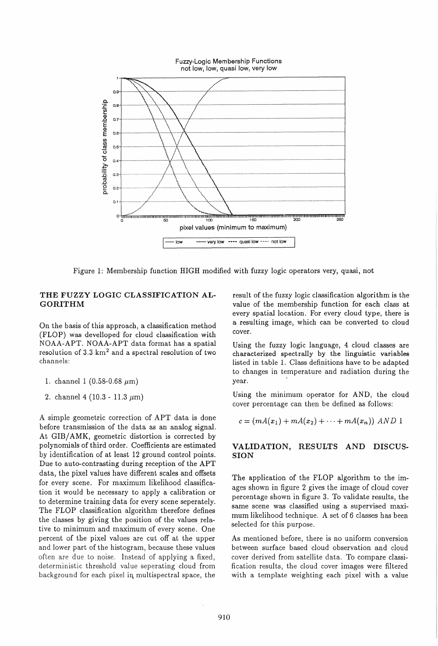

Figure 1: Membership function HIGH modified with fuzzy logic operators very, quasi, not

# THE FUZZY LOGIC CLASSIFICATION AL-GORITHM

On the basis of this approach, a classification method (FLOP) was develloped for cloud classification with NOAA-APT. NOAA-APT data format has a spatial resolution of  $3.3 \text{ km}^2$  and a spectral resolution of two channels:

- 1. channel 1 (0.58-0.68  $\mu$ m)
- 2. channel 4 (10.3 11.3  $\mu$ m)

A simple geometric correction of APT data is done before transmission of the data as an analog signal. At GIB/AMK, geometric distortion is corrected by polynomials of third order. Coefficients are estimated by identification of at least 12 ground control points. Due to auto-contrasting during reception of the APT data, the pixel values have different scales and offsets for every scene. For maximum likelihood classification it would be necessary to apply a calibration or to determine training data for every scene seperately. The FLOP classification algorithm therefore defines the classes by giving the position of the values relative to minimum and maximum of every scene. One percent of the pixel values are cut off at the upper and lower part of the histogram, because these values often are due to noise. Instead of applying a fixed, deterministic threshold value seperating cloud from background for each pixel in multispectral space, the

result of the fuzzy logic classification algorithm is the value of the membership function for each class at every spatial location. For every cloud type, there is a resulting image, which can be converted to cloud cover.

Using the fuzzy logic language, 4 cloud classes are characterized spectrally by the linguistic variables listed in table 1. Class definitions have to be adapted to changes in temperature and radiation during the year.

Using the minimum operator for AND, the cloud cover percentage can then be defined as follows:

$$
c = (mA(x1) + mA(x2) + \cdots + mA(xn)) \text{ AND } 1
$$

# VALIDATION, RESULTS AND DISCUS-SION

The application of the FLOP algorithm to the images shown in figure 2 gives the image of cloud cover percentage shown in figure 3. To validate results, the same scene was classified using a supervised maximum likelihood technique. A set of 6 classes has been selected for this purpose.

As mentioned before, there is no uniform conversion between surface based cloud observation and cloud cover derived from satellite data. To compare classification results, the cloud cover images were filtered with a template weighting each pixel with a value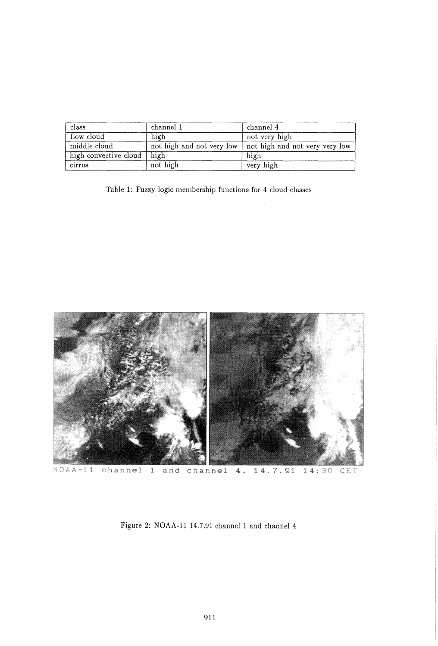| class                 | channel 1                 | channel 4                      |
|-----------------------|---------------------------|--------------------------------|
| Low cloud             | high                      | not very high                  |
| middle cloud          | not high and not very low | not high and not very very low |
| high convective cloud | high                      | high                           |
| cirrus                | not high                  | very high                      |

Table 1: Fuzzy logic membership functions for 4 cloud classes



 $NOAA-11$ channel 1 and channel 4, 14.7.91  $14:30$  $CET$ 

Figure 2: NOAA-ll 14.7.91 channel 1 and channel 4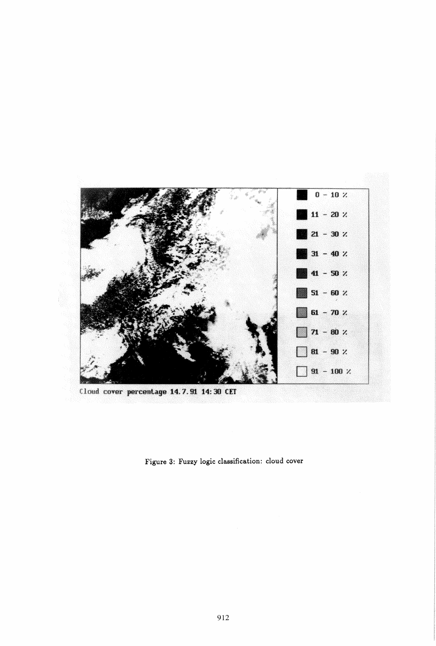

Cloud cover percentage 14.7.91 14:30 CET

**Figure 3: Fuzzy logic classification: cloud cover**